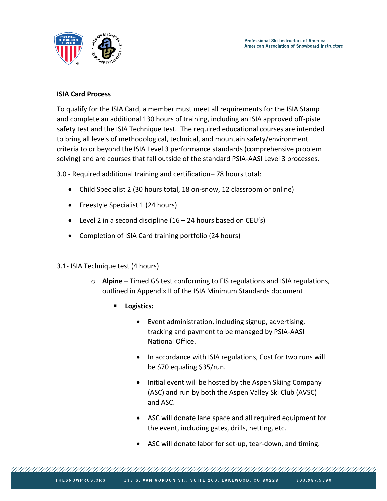

## **ISIA Card Process**

To qualify for the ISIA Card, a member must meet all requirements for the ISIA Stamp and complete an additional 130 hours of training, including an ISIA approved off-piste safety test and the ISIA Technique test. The required educational courses are intended to bring all levels of methodological, technical, and mountain safety/environment criteria to or beyond the ISIA Level 3 performance standards (comprehensive problem solving) and are courses that fall outside of the standard PSIA-AASI Level 3 processes.

3.0 - Required additional training and certification– 78 hours total:

- Child Specialist 2 (30 hours total, 18 on-snow, 12 classroom or online)
- Freestyle Specialist 1 (24 hours)
- Level 2 in a second discipline  $(16 24$  hours based on CEU's)
- Completion of ISIA Card training portfolio (24 hours)
- 3.1- ISIA Technique test (4 hours)
	- o **Alpine** Timed GS test conforming to FIS regulations and ISIA regulations, outlined in Appendix II of the ISIA Minimum Standards document
		- Logistics:
			- Event administration, including signup, advertising, tracking and payment to be managed by PSIA-AASI National Office.
			- In accordance with ISIA regulations, Cost for two runs will be \$70 equaling \$35/run.
			- Initial event will be hosted by the Aspen Skiing Company (ASC) and run by both the Aspen Valley Ski Club (AVSC) and ASC.
			- ASC will donate lane space and all required equipment for the event, including gates, drills, netting, etc.
			- ASC will donate labor for set-up, tear-down, and timing.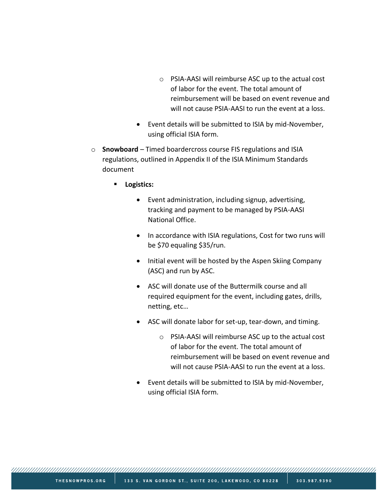- o PSIA-AASI will reimburse ASC up to the actual cost of labor for the event. The total amount of reimbursement will be based on event revenue and will not cause PSIA-AASI to run the event at a loss.
- Event details will be submitted to ISIA by mid-November, using official ISIA form.
- o **Snowboard**  Timed boardercross course FIS regulations and ISIA regulations, outlined in Appendix II of the ISIA Minimum Standards document
	- **Logistics:**
		- Event administration, including signup, advertising, tracking and payment to be managed by PSIA-AASI National Office.
		- In accordance with ISIA regulations, Cost for two runs will be \$70 equaling \$35/run.
		- Initial event will be hosted by the Aspen Skiing Company (ASC) and run by ASC.
		- ASC will donate use of the Buttermilk course and all required equipment for the event, including gates, drills, netting, etc…
		- ASC will donate labor for set-up, tear-down, and timing.
			- o PSIA-AASI will reimburse ASC up to the actual cost of labor for the event. The total amount of reimbursement will be based on event revenue and will not cause PSIA-AASI to run the event at a loss.
		- Event details will be submitted to ISIA by mid-November, using official ISIA form.